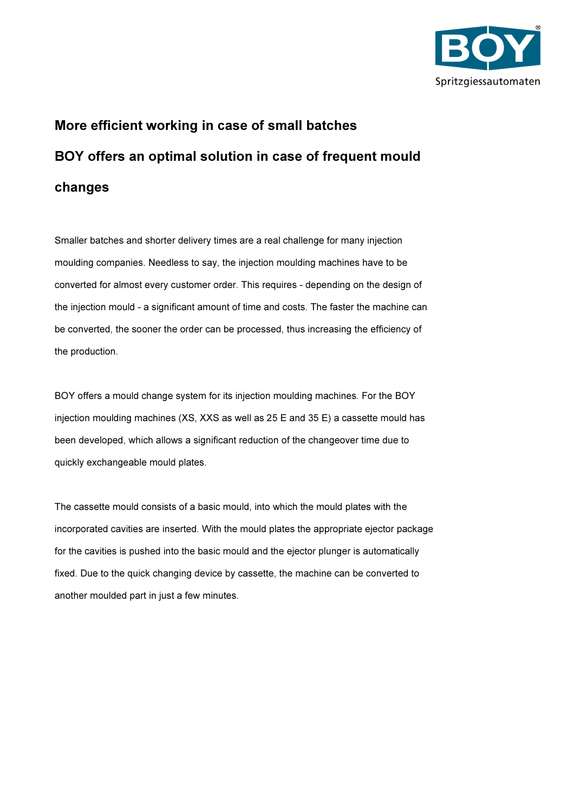

## More efficient working in case of small batches BOY offers an optimal solution in case of frequent mould changes

Smaller batches and shorter delivery times are a real challenge for many injection moulding companies. Needless to say, the injection moulding machines have to be converted for almost every customer order. This requires - depending on the design of the injection mould - a significant amount of time and costs. The faster the machine can be converted, the sooner the order can be processed, thus increasing the efficiency of the production.

BOY offers a mould change system for its injection moulding machines. For the BOY injection moulding machines (XS, XXS as well as 25 E and 35 E) a cassette mould has been developed, which allows a significant reduction of the changeover time due to quickly exchangeable mould plates.

The cassette mould consists of a basic mould, into which the mould plates with the incorporated cavities are inserted. With the mould plates the appropriate ejector package for the cavities is pushed into the basic mould and the ejector plunger is automatically fixed. Due to the quick changing device by cassette, the machine can be converted to another moulded part in just a few minutes.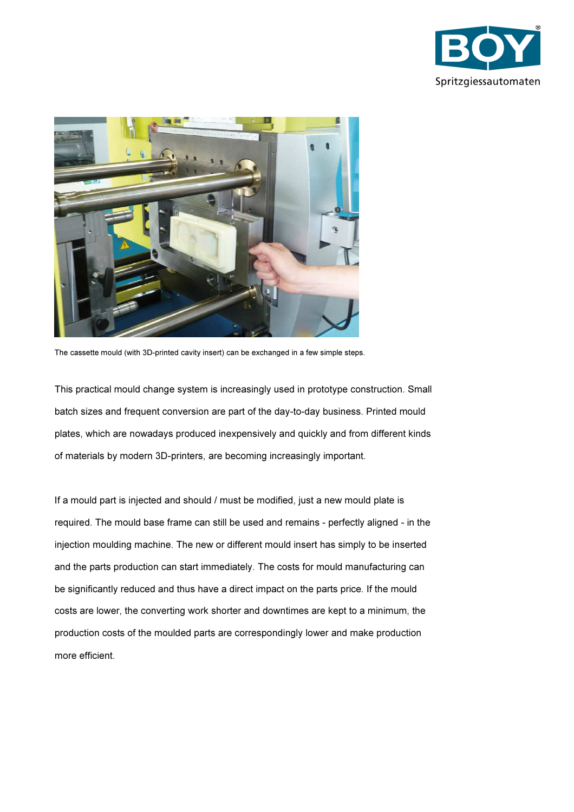



The cassette mould (with 3D-printed cavity insert) can be exchanged in a few simple steps.

This practical mould change system is increasingly used in prototype construction. Small batch sizes and frequent conversion are part of the day-to-day business. Printed mould plates, which are nowadays produced inexpensively and quickly and from different kinds of materials by modern 3D-printers, are becoming increasingly important.

If a mould part is injected and should / must be modified, just a new mould plate is required. The mould base frame can still be used and remains - perfectly aligned - in the injection moulding machine. The new or different mould insert has simply to be inserted and the parts production can start immediately. The costs for mould manufacturing can be significantly reduced and thus have a direct impact on the parts price. If the mould costs are lower, the converting work shorter and downtimes are kept to a minimum, the production costs of the moulded parts are correspondingly lower and make production more efficient.